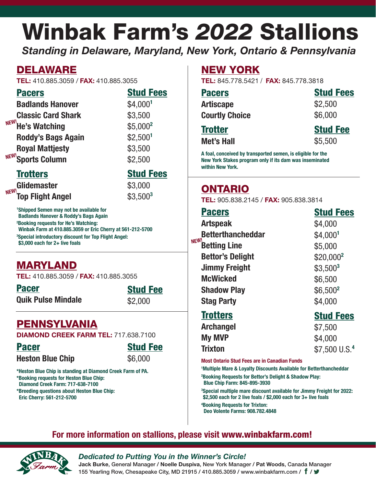# Winbak Farm's *2022* Stallions

*Standing in Delaware, Maryland, New York, Ontario & Pennsylvania*

# DELAWARE

**TEL:** 410.885.3059 / **FAX:** 410.885.3055

|--|--|

Stud Fees \$4,000**<sup>1</sup>**

\$3,500 \$5,000**<sup>2</sup>** \$2,500**<sup>1</sup>** \$3,500 \$2,500

|                    | <b>Badlands Hanover</b>   |  |
|--------------------|---------------------------|--|
|                    | <b>Classic Card Shark</b> |  |
| NEW! He's Watching |                           |  |
|                    | <b>Roddy's Bags Again</b> |  |
|                    | <b>Royal Mattjesty</b>    |  |
|                    | NEW! Sports Column        |  |

## **Trotters**

**Glidemaster Top Flight Angel NEW!**

Stud Fees

\$3,000 \$3,500**<sup>3</sup>**

**1 Shipped Semen may not be available for Badlands Hanover & Roddy's Bags Again 2 Booking requests for He's Watching: Winbak Farm at 410.885.3059 or Eric Cherry at 561-212-5700 3 Special introductory discount for Top Flight Angel: \$3,000 each for 2+ live foals**

# MARYLAND

**TEL:** 410.885.3059 / **FAX:** 410.885.3055

Pacer **Quik Pulse Mindale** Stud Fee

# PENNSYLVANIA

**DIAMOND CREEK FARM TEL:** 717.638.7100

Pacer **Heston Blue Chip**  Stud Fee

**\*Heston Blue Chip is standing at Diamond Creek Farm of PA. \*Booking requests for Heston Blue Chip: Diamond Creek Farm: 717-638-7100 \*Breeding questions about Heston Blue Chip:** 

## **Eric Cherry: 561-212-5700**

# NEW YORK

**TEL:** 845.778.5421 / **FAX:** 845.778.3818

| <b>Stud Fees</b> |
|------------------|
| \$2,500          |
| \$6,000          |
| <b>Stud Fee</b>  |
|                  |

**Met's Hall**

\$5,500

**A foal, conceived by transported semen, is eligible for the New York Stakes program only if its dam was inseminated within New York.**

# ONTARIO

**TEL:** 905.838.2145 / **FAX:** 905.838.3814

| <b>Pacers</b>               | <b>Stud Fees</b>          |
|-----------------------------|---------------------------|
| <b>Artspeak</b>             | \$4,000                   |
| <b>Betterthancheddar</b>    | \$4,0001                  |
| NEW!<br><b>Betting Line</b> | \$5,000                   |
| <b>Bettor's Delight</b>     | \$20,000 <sup>2</sup>     |
| <b>Jimmy Freight</b>        | $$3,500^3$                |
| <b>McWicked</b>             | \$6,500                   |
| <b>Shadow Play</b>          | $$6,500^2$                |
| <b>Stag Party</b>           | \$4,000                   |
| <b>Trotters</b>             | <b>Stud Fees</b>          |
| <b>Archangel</b>            | \$7,500                   |
| <b>My MVP</b>               | \$4,000                   |
| <b>Trixton</b>              | \$7,500 U.S. <sup>4</sup> |
|                             |                           |

 **Most Ontario Stud Fees are in Canadian Funds** 

**1 Multiple Mare & Loyalty Discounts Available for Betterthancheddar**

**2 Booking Requests for Bettor's Delight & Shadow Play: Blue Chip Farm: 845-895-3930**

**3 Special multiple mare discount available for Jimmy Freight for 2022: \$2,500 each for 2 live foals / \$2,000 each for 3+ live foals**

**4 Booking Requests for Trixton: Deo Volente Farms: 908.782.4848**

## **For more information on stallions, please visit** www.winbakfarm.com!



## *Dedicated to Putting You in the Winner's Circle!*

**Jack Burke**, General Manager / **Noelle Duspiva**, New York Manager / **Pat Woods**, Canada Manager 155 Yearling Row, Chesapeake City, MD 21915 / 410.885.3059 / www.winbakfarm.com /  $\mathbf{f}$  /  $\mathbf{y}$ 

\$6,000

\$2,000